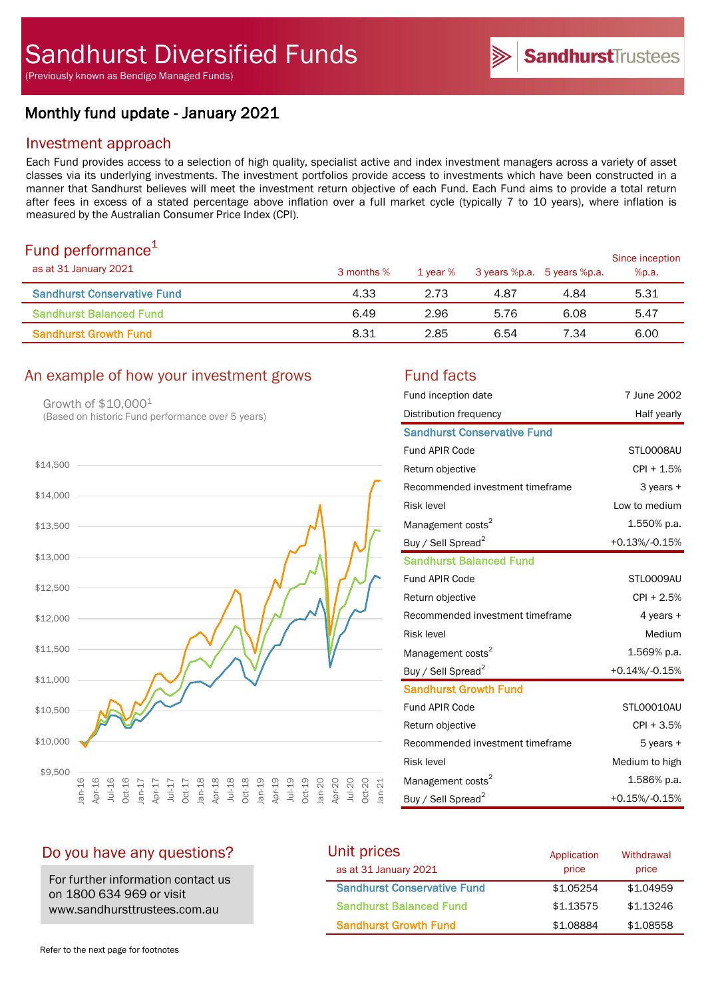# Monthly fund update - January 2021

## Investment approach

Each Fund provides access to a selection of high quality, specialist active and index investment managers across a variety of asset classes via its underlying investments. The investment portfolios provide access to investments which have been constructed in a manner that Sandhurst believes will meet the investment return objective of each Fund. Each Fund aims to provide a total return after fees in excess of a stated percentage above inflation over a full market cycle (typically 7 to 10 years), where inflation is measured by the Australian Consumer Price Index (CPI).

# Fund performance $1$

| .9.19771.011.001.000<br>as at 31 January 2021 | 3 months % | 1 vear % |      | 3 years %p.a. 5 years %p.a. | Since inception<br>%p.a. |
|-----------------------------------------------|------------|----------|------|-----------------------------|--------------------------|
| <b>Sandhurst Conservative Fund</b>            | 4.33       | 2.73     | 4.87 | 4.84                        | 5.31                     |
| <b>Sandhurst Balanced Fund</b>                | 6.49       | 2.96     | 5.76 | 6.08                        | 5.47                     |
| <b>Sandhurst Growth Fund</b>                  | 8.31       | 2.85     | 6.54 | 7.34                        | 6.00                     |

# An example of how your investment grows Fund facts

Growth of \$10,0001 (Based on historic Fund performance over 5 years)



| Fund inception date                | 7 June 2002      |
|------------------------------------|------------------|
| Distribution frequency             | Half yearly      |
| <b>Sandhurst Conservative Fund</b> |                  |
| <b>Fund APIR Code</b>              | STL0008AU        |
| Return objective                   | CPI + 1.5%       |
| Recommended investment timeframe   | $3$ years $+$    |
| <b>Risk level</b>                  | Low to medium    |
| Management costs <sup>2</sup>      | 1.550% p.a.      |
| Buy / Sell Spread <sup>2</sup>     | +0.13%/-0.15%    |
| <b>Sandhurst Balanced Fund</b>     |                  |
| <b>Fund APIR Code</b>              | STL0009AU        |
| Return objective                   | CPI + 2.5%       |
| Recommended investment timeframe   | 4 years +        |
| <b>Risk level</b>                  | Medium           |
| Management costs <sup>2</sup>      | 1.569% p.a.      |
| Buy / Sell Spread <sup>2</sup>     | $+0.14\%/0.15\%$ |
| <b>Sandhurst Growth Fund</b>       |                  |
| <b>Fund APIR Code</b>              | STL00010AU       |
| Return objective                   | $CPI + 3.5%$     |
| Recommended investment timeframe   | 5 years +        |
| <b>Risk level</b>                  | Medium to high   |
| Management costs <sup>2</sup>      | 1.586% p.a.      |
| Buy / Sell Spread <sup>2</sup>     | +0.15%/-0.15%    |

SandhurstTrustees

# Do you have any questions?

For further information contact us on 1800 634 969 or visit www.sandhursttrustees.com.au

| Unit prices                        | Application | Withdrawal |
|------------------------------------|-------------|------------|
| as at 31 January 2021              | price       | price      |
| <b>Sandhurst Conservative Fund</b> | \$1.05254   | \$1.04959  |
| <b>Sandhurst Balanced Fund</b>     | \$1.13575   | \$1.13246  |
| <b>Sandhurst Growth Fund</b>       | \$1.08884   | \$1,08558  |